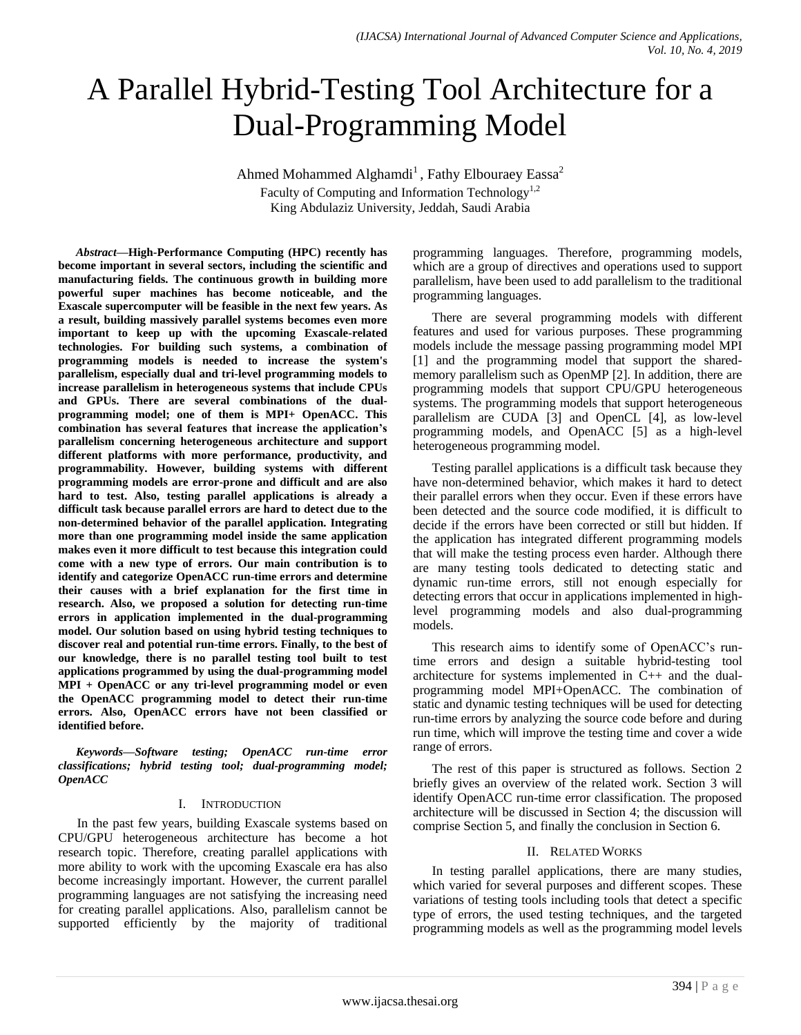# A Parallel Hybrid-Testing Tool Architecture for a Dual-Programming Model

Ahmed Mohammed Alghamdi<sup>1</sup>, Fathy Elbouraey Eassa<sup>2</sup> Faculty of Computing and Information Technology<sup>1,2</sup> King Abdulaziz University, Jeddah, Saudi Arabia

*Abstract***—High-Performance Computing (HPC) recently has become important in several sectors, including the scientific and manufacturing fields. The continuous growth in building more powerful super machines has become noticeable, and the Exascale supercomputer will be feasible in the next few years. As a result, building massively parallel systems becomes even more important to keep up with the upcoming Exascale-related technologies. For building such systems, a combination of programming models is needed to increase the system's parallelism, especially dual and tri-level programming models to increase parallelism in heterogeneous systems that include CPUs and GPUs. There are several combinations of the dualprogramming model; one of them is MPI+ OpenACC. This combination has several features that increase the application's parallelism concerning heterogeneous architecture and support different platforms with more performance, productivity, and programmability. However, building systems with different programming models are error-prone and difficult and are also hard to test. Also, testing parallel applications is already a difficult task because parallel errors are hard to detect due to the non-determined behavior of the parallel application. Integrating more than one programming model inside the same application makes even it more difficult to test because this integration could come with a new type of errors. Our main contribution is to identify and categorize OpenACC run-time errors and determine their causes with a brief explanation for the first time in research. Also, we proposed a solution for detecting run-time errors in application implemented in the dual-programming model. Our solution based on using hybrid testing techniques to discover real and potential run-time errors. Finally, to the best of our knowledge, there is no parallel testing tool built to test applications programmed by using the dual-programming model MPI + OpenACC or any tri-level programming model or even the OpenACC programming model to detect their run-time errors. Also, OpenACC errors have not been classified or identified before.**

*Keywords—Software testing; OpenACC run-time error classifications; hybrid testing tool; dual-programming model; OpenACC*

## I. INTRODUCTION

In the past few years, building Exascale systems based on CPU/GPU heterogeneous architecture has become a hot research topic. Therefore, creating parallel applications with more ability to work with the upcoming Exascale era has also become increasingly important. However, the current parallel programming languages are not satisfying the increasing need for creating parallel applications. Also, parallelism cannot be supported efficiently by the majority of traditional programming languages. Therefore, programming models, which are a group of directives and operations used to support parallelism, have been used to add parallelism to the traditional programming languages.

There are several programming models with different features and used for various purposes. These programming models include the message passing programming model MPI [1] and the programming model that support the sharedmemory parallelism such as OpenMP [2]. In addition, there are programming models that support CPU/GPU heterogeneous systems. The programming models that support heterogeneous parallelism are CUDA [3] and OpenCL [4], as low-level programming models, and OpenACC [5] as a high-level heterogeneous programming model.

Testing parallel applications is a difficult task because they have non-determined behavior, which makes it hard to detect their parallel errors when they occur. Even if these errors have been detected and the source code modified, it is difficult to decide if the errors have been corrected or still but hidden. If the application has integrated different programming models that will make the testing process even harder. Although there are many testing tools dedicated to detecting static and dynamic run-time errors, still not enough especially for detecting errors that occur in applications implemented in highlevel programming models and also dual-programming models.

This research aims to identify some of OpenACC's runtime errors and design a suitable hybrid-testing tool architecture for systems implemented in C++ and the dualprogramming model MPI+OpenACC. The combination of static and dynamic testing techniques will be used for detecting run-time errors by analyzing the source code before and during run time, which will improve the testing time and cover a wide range of errors.

The rest of this paper is structured as follows. Section 2 briefly gives an overview of the related work. Section 3 will identify OpenACC run-time error classification. The proposed architecture will be discussed in Section 4; the discussion will comprise Section 5, and finally the conclusion in Section 6.

## II. RELATED WORKS

In testing parallel applications, there are many studies, which varied for several purposes and different scopes. These variations of testing tools including tools that detect a specific type of errors, the used testing techniques, and the targeted programming models as well as the programming model levels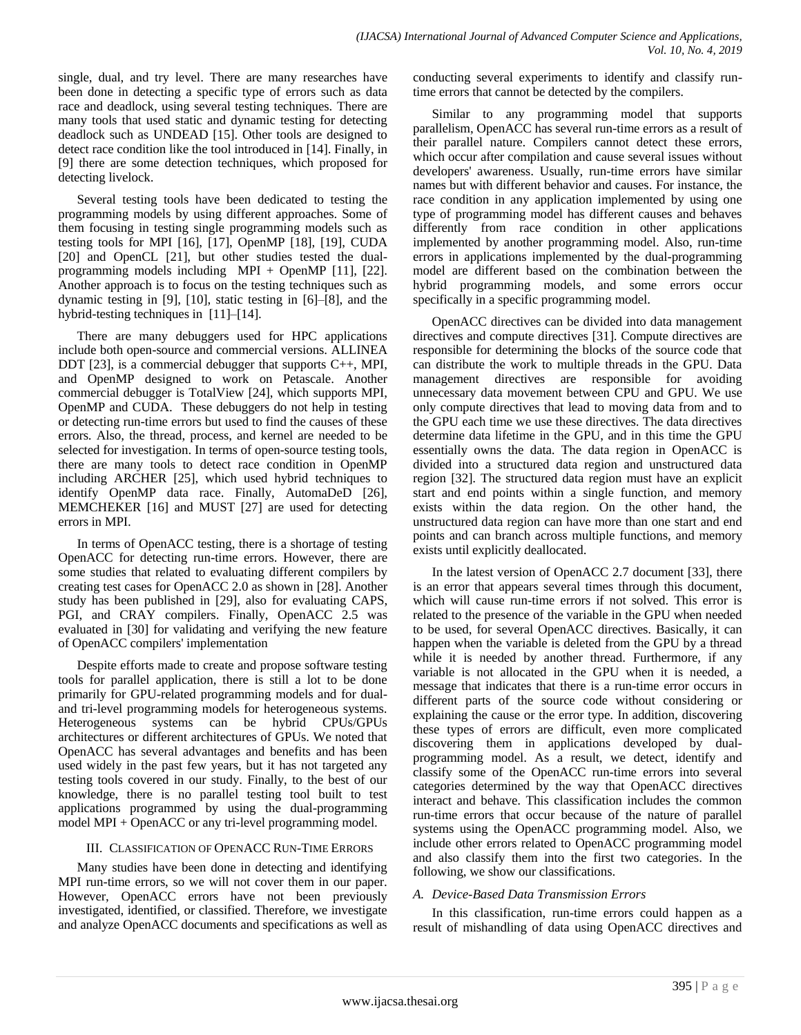single, dual, and try level. There are many researches have been done in detecting a specific type of errors such as data race and deadlock, using several testing techniques. There are many tools that used static and dynamic testing for detecting deadlock such as UNDEAD [15]. Other tools are designed to detect race condition like the tool introduced in [14]. Finally, in [9] there are some detection techniques, which proposed for detecting livelock.

Several testing tools have been dedicated to testing the programming models by using different approaches. Some of them focusing in testing single programming models such as testing tools for MPI [16], [17], OpenMP [18], [19], CUDA [20] and OpenCL [21], but other studies tested the dualprogramming models including MPI + OpenMP [11], [22]. Another approach is to focus on the testing techniques such as dynamic testing in [9], [10], static testing in [6]–[8], and the hybrid-testing techniques in [11]–[14].

There are many debuggers used for HPC applications include both open-source and commercial versions. ALLINEA DDT [23], is a commercial debugger that supports C++, MPI, and OpenMP designed to work on Petascale. Another commercial debugger is TotalView [24], which supports MPI, OpenMP and CUDA. These debuggers do not help in testing or detecting run-time errors but used to find the causes of these errors. Also, the thread, process, and kernel are needed to be selected for investigation. In terms of open-source testing tools, there are many tools to detect race condition in OpenMP including ARCHER [25], which used hybrid techniques to identify OpenMP data race. Finally, AutomaDeD [26], MEMCHEKER [16] and MUST [27] are used for detecting errors in MPI.

In terms of OpenACC testing, there is a shortage of testing OpenACC for detecting run-time errors. However, there are some studies that related to evaluating different compilers by creating test cases for OpenACC 2.0 as shown in [28]. Another study has been published in [29], also for evaluating CAPS, PGI, and CRAY compilers. Finally, OpenACC 2.5 was evaluated in [30] for validating and verifying the new feature of OpenACC compilers' implementation

Despite efforts made to create and propose software testing tools for parallel application, there is still a lot to be done primarily for GPU-related programming models and for dualand tri-level programming models for heterogeneous systems. Heterogeneous systems can be hybrid CPUs/GPUs architectures or different architectures of GPUs. We noted that OpenACC has several advantages and benefits and has been used widely in the past few years, but it has not targeted any testing tools covered in our study. Finally, to the best of our knowledge, there is no parallel testing tool built to test applications programmed by using the dual-programming model MPI + OpenACC or any tri-level programming model.

# III. CLASSIFICATION OF OPENACC RUN-TIME ERRORS

Many studies have been done in detecting and identifying MPI run-time errors, so we will not cover them in our paper. However, OpenACC errors have not been previously investigated, identified, or classified. Therefore, we investigate and analyze OpenACC documents and specifications as well as conducting several experiments to identify and classify runtime errors that cannot be detected by the compilers.

Similar to any programming model that supports parallelism, OpenACC has several run-time errors as a result of their parallel nature. Compilers cannot detect these errors, which occur after compilation and cause several issues without developers' awareness. Usually, run-time errors have similar names but with different behavior and causes. For instance, the race condition in any application implemented by using one type of programming model has different causes and behaves differently from race condition in other applications implemented by another programming model. Also, run-time errors in applications implemented by the dual-programming model are different based on the combination between the hybrid programming models, and some errors occur specifically in a specific programming model.

OpenACC directives can be divided into data management directives and compute directives [31]. Compute directives are responsible for determining the blocks of the source code that can distribute the work to multiple threads in the GPU. Data management directives are responsible for avoiding unnecessary data movement between CPU and GPU. We use only compute directives that lead to moving data from and to the GPU each time we use these directives. The data directives determine data lifetime in the GPU, and in this time the GPU essentially owns the data. The data region in OpenACC is divided into a structured data region and unstructured data region [32]. The structured data region must have an explicit start and end points within a single function, and memory exists within the data region. On the other hand, the unstructured data region can have more than one start and end points and can branch across multiple functions, and memory exists until explicitly deallocated.

In the latest version of OpenACC 2.7 document [33], there is an error that appears several times through this document, which will cause run-time errors if not solved. This error is related to the presence of the variable in the GPU when needed to be used, for several OpenACC directives. Basically, it can happen when the variable is deleted from the GPU by a thread while it is needed by another thread. Furthermore, if any variable is not allocated in the GPU when it is needed, a message that indicates that there is a run-time error occurs in different parts of the source code without considering or explaining the cause or the error type. In addition, discovering these types of errors are difficult, even more complicated discovering them in applications developed by dualprogramming model. As a result, we detect, identify and classify some of the OpenACC run-time errors into several categories determined by the way that OpenACC directives interact and behave. This classification includes the common run-time errors that occur because of the nature of parallel systems using the OpenACC programming model. Also, we include other errors related to OpenACC programming model and also classify them into the first two categories. In the following, we show our classifications.

# *A. Device-Based Data Transmission Errors*

In this classification, run-time errors could happen as a result of mishandling of data using OpenACC directives and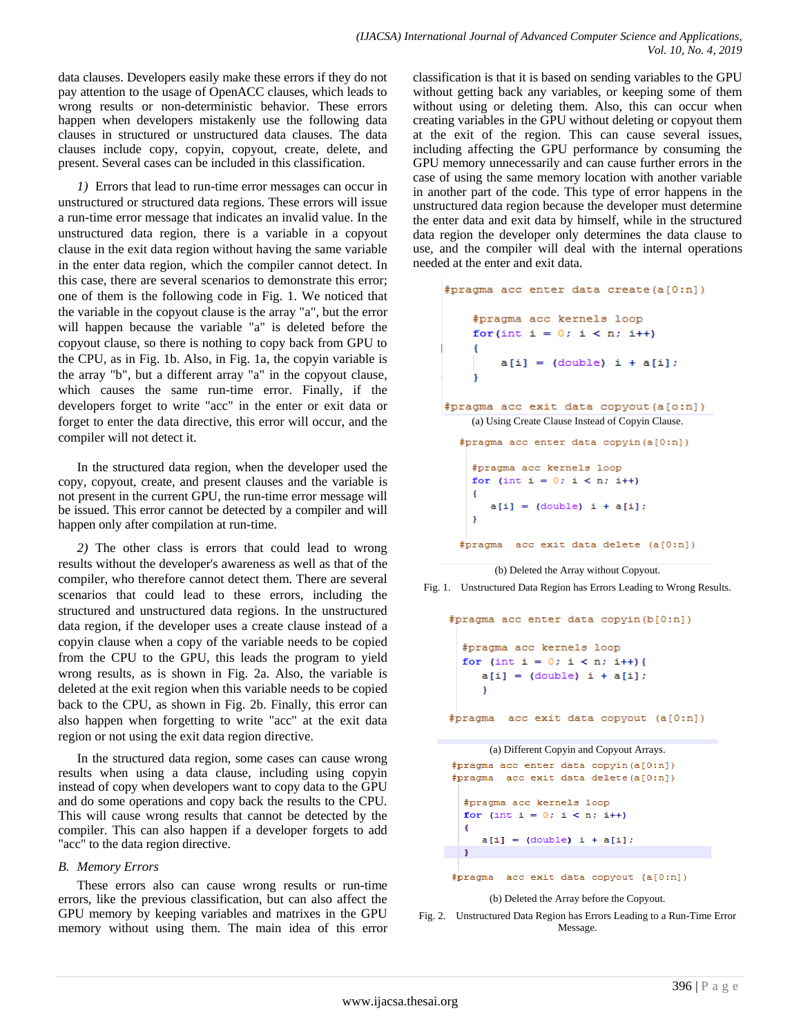data clauses. Developers easily make these errors if they do not pay attention to the usage of OpenACC clauses, which leads to wrong results or non-deterministic behavior. These errors happen when developers mistakenly use the following data clauses in structured or unstructured data clauses. The data clauses include copy, copyin, copyout, create, delete, and present. Several cases can be included in this classification.

*1)* Errors that lead to run-time error messages can occur in unstructured or structured data regions. These errors will issue a run-time error message that indicates an invalid value. In the unstructured data region, there is a variable in a copyout clause in the exit data region without having the same variable in the enter data region, which the compiler cannot detect. In this case, there are several scenarios to demonstrate this error; one of them is the following code in Fig. 1. We noticed that the variable in the copyout clause is the array "a", but the error will happen because the variable "a" is deleted before the copyout clause, so there is nothing to copy back from GPU to the CPU, as in Fig. 1b. Also, in Fig. 1a, the copyin variable is the array "b", but a different array "a" in the copyout clause, which causes the same run-time error. Finally, if the developers forget to write "acc" in the enter or exit data or forget to enter the data directive, this error will occur, and the compiler will not detect it.

In the structured data region, when the developer used the copy, copyout, create, and present clauses and the variable is not present in the current GPU, the run-time error message will be issued. This error cannot be detected by a compiler and will happen only after compilation at run-time.

*2)* The other class is errors that could lead to wrong results without the developer's awareness as well as that of the compiler, who therefore cannot detect them. There are several scenarios that could lead to these errors, including the structured and unstructured data regions. In the unstructured data region, if the developer uses a create clause instead of a copyin clause when a copy of the variable needs to be copied from the CPU to the GPU, this leads the program to yield wrong results, as is shown in Fig. 2a. Also, the variable is deleted at the exit region when this variable needs to be copied back to the CPU, as shown in Fig. 2b. Finally, this error can also happen when forgetting to write "acc" at the exit data region or not using the exit data region directive.

In the structured data region, some cases can cause wrong results when using a data clause, including using copyin instead of copy when developers want to copy data to the GPU and do some operations and copy back the results to the CPU. This will cause wrong results that cannot be detected by the compiler. This can also happen if a developer forgets to add "acc" to the data region directive.

## *B. Memory Errors*

These errors also can cause wrong results or run-time errors, like the previous classification, but can also affect the GPU memory by keeping variables and matrixes in the GPU memory without using them. The main idea of this error classification is that it is based on sending variables to the GPU without getting back any variables, or keeping some of them without using or deleting them. Also, this can occur when creating variables in the GPU without deleting or copyout them at the exit of the region. This can cause several issues, including affecting the GPU performance by consuming the GPU memory unnecessarily and can cause further errors in the case of using the same memory location with another variable in another part of the code. This type of error happens in the unstructured data region because the developer must determine the enter data and exit data by himself, while in the structured data region the developer only determines the data clause to use, and the compiler will deal with the internal operations needed at the enter and exit data.

```
#pragma acc enter data create (a[0:n])
    #pragma acc kernels loop
    for(int i = 0; i < n; i++)a[i] = (double) i + a[i];<sup>1</sup>
#pragma acc exit data copyout (a[o:n])
    (a) Using Create Clause Instead of Copyin Clause.
  #pragma acc enter data copyin(a[0:n])
    #pragma acc kernels loop
    for (int i = 0; i < n; i+1)
    \overline{f}a[i] = (double) i + a[i];<sup>1</sup>
  #pragma acc exit data delete (a[0:n])
```
(b) Deleted the Array without Copyout.

Fig. 1. Unstructured Data Region has Errors Leading to Wrong Results.

```
#pragma acc enter data copyin (b[0:n])
  #pragma acc kernels loop
  for (int i = 0; i < n; i++) {
     a[i] = (double) i + a[i];#pragma acc exit data copyout (a[0:n])
      (a) Different Copyin and Copyout Arrays.
#pragma acc enter data copyin(a[0:n])
#pragma acc exit data delete(a[0:n])
  #pragma acc kernels loop
  for (int i = 0; i < n; i++)
  \mathbf{f}a[i] = (double) i + a[i];\mathbf{F}#pragma acc exit data copyout (a[0:n])
```
#### (b) Deleted the Array before the Copyout.

Fig. 2. Unstructured Data Region has Errors Leading to a Run-Time Error Message.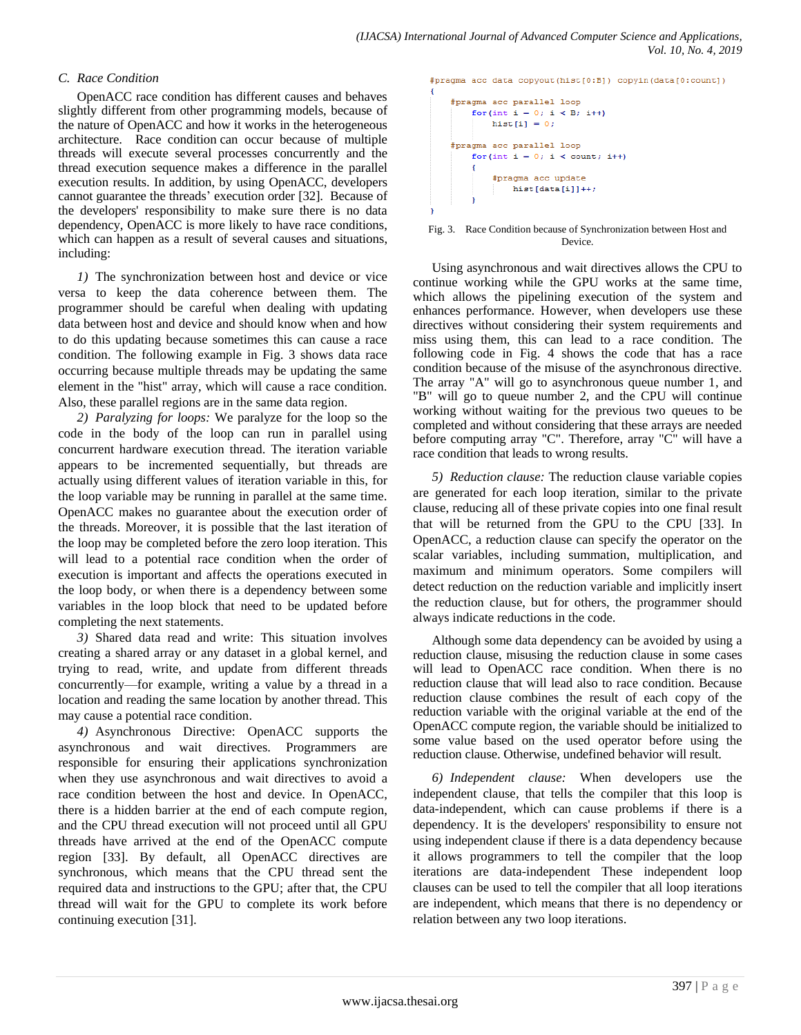## *C. Race Condition*

OpenACC race condition has different causes and behaves slightly different from other programming models, because of the nature of OpenACC and how it works in the heterogeneous architecture. Race condition can occur because of multiple threads will execute several processes concurrently and the thread execution sequence makes a difference in the parallel execution results. In addition, by using OpenACC, developers cannot guarantee the threads' execution order [32]. Because of the developers' responsibility to make sure there is no data dependency, OpenACC is more likely to have race conditions, which can happen as a result of several causes and situations, including:

*1)* The synchronization between host and device or vice versa to keep the data coherence between them. The programmer should be careful when dealing with updating data between host and device and should know when and how to do this updating because sometimes this can cause a race condition. The following example in Fig. 3 shows data race occurring because multiple threads may be updating the same element in the "hist" array, which will cause a race condition. Also, these parallel regions are in the same data region.

*2) Paralyzing for loops:* We paralyze for the loop so the code in the body of the loop can run in parallel using concurrent hardware execution thread. The iteration variable appears to be incremented sequentially, but threads are actually using different values of iteration variable in this, for the loop variable may be running in parallel at the same time. OpenACC makes no guarantee about the execution order of the threads. Moreover, it is possible that the last iteration of the loop may be completed before the zero loop iteration. This will lead to a potential race condition when the order of execution is important and affects the operations executed in the loop body, or when there is a dependency between some variables in the loop block that need to be updated before completing the next statements.

*3)* Shared data read and write: This situation involves creating a shared array or any dataset in a global kernel, and trying to read, write, and update from different threads concurrently—for example, writing a value by a thread in a location and reading the same location by another thread. This may cause a potential race condition.

*4)* Asynchronous Directive: OpenACC supports the asynchronous and wait directives. Programmers are responsible for ensuring their applications synchronization when they use asynchronous and wait directives to avoid a race condition between the host and device. In OpenACC, there is a hidden barrier at the end of each compute region, and the CPU thread execution will not proceed until all GPU threads have arrived at the end of the OpenACC compute region [33]. By default, all OpenACC directives are synchronous, which means that the CPU thread sent the required data and instructions to the GPU; after that, the CPU thread will wait for the GPU to complete its work before continuing execution [31].

#pragma acc data copyout (hist[0:B]) copyin(data[0:count])

```
#pragma acc parallel loop
    for (int i = 0: i < B: i++)hist[i] = 0;#pragma acc parallel loop
    for(int i = 0; i < count; i++)
    \left\{ \right.#pragma acc update
            hist[data[i]]++;
```
x

Fig. 3. Race Condition because of Synchronization between Host and Device.

Using asynchronous and wait directives allows the CPU to continue working while the GPU works at the same time, which allows the pipelining execution of the system and enhances performance. However, when developers use these directives without considering their system requirements and miss using them, this can lead to a race condition. The following code in Fig. 4 shows the code that has a race condition because of the misuse of the asynchronous directive. The array "A" will go to asynchronous queue number 1, and "B" will go to queue number 2, and the CPU will continue working without waiting for the previous two queues to be completed and without considering that these arrays are needed before computing array "C". Therefore, array "C" will have a race condition that leads to wrong results.

*5) Reduction clause:* The reduction clause variable copies are generated for each loop iteration, similar to the private clause, reducing all of these private copies into one final result that will be returned from the GPU to the CPU [33]. In OpenACC, a reduction clause can specify the operator on the scalar variables, including summation, multiplication, and maximum and minimum operators. Some compilers will detect reduction on the reduction variable and implicitly insert the reduction clause, but for others, the programmer should always indicate reductions in the code.

Although some data dependency can be avoided by using a reduction clause, misusing the reduction clause in some cases will lead to OpenACC race condition. When there is no reduction clause that will lead also to race condition. Because reduction clause combines the result of each copy of the reduction variable with the original variable at the end of the OpenACC compute region, the variable should be initialized to some value based on the used operator before using the reduction clause. Otherwise, undefined behavior will result.

*6) Independent clause:* When developers use the independent clause, that tells the compiler that this loop is data-independent, which can cause problems if there is a dependency. It is the developers' responsibility to ensure not using independent clause if there is a data dependency because it allows programmers to tell the compiler that the loop iterations are data-independent These independent loop clauses can be used to tell the compiler that all loop iterations are independent, which means that there is no dependency or relation between any two loop iterations.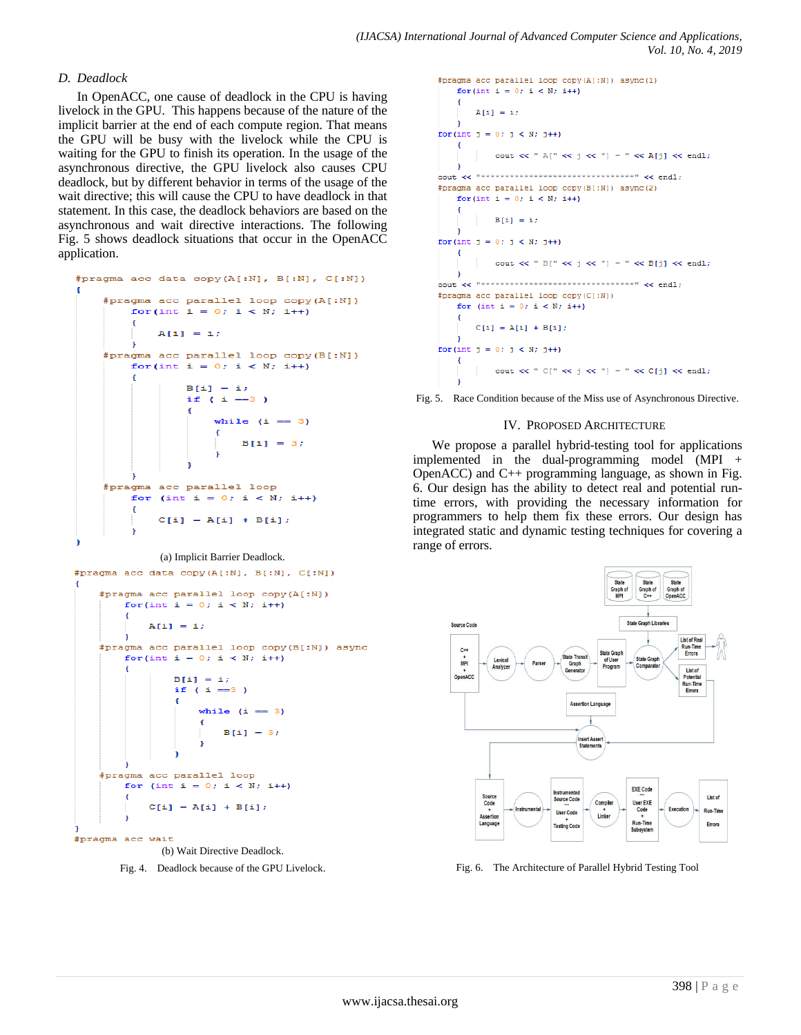## *D. Deadlock*

In OpenACC, one cause of deadlock in the CPU is having livelock in the GPU. This happens because of the nature of the implicit barrier at the end of each compute region. That means the GPU will be busy with the livelock while the CPU is waiting for the GPU to finish its operation. In the usage of the asynchronous directive, the GPU livelock also causes CPU deadlock, but by different behavior in terms of the usage of the wait directive; this will cause the CPU to have deadlock in that statement. In this case, the deadlock behaviors are based on the asynchronous and wait directive interactions. The following Fig. 5 shows deadlock situations that occur in the OpenACC application.

```
#pragma acc data copy(A[:N], B[:N], C[:N])
    #pragma acc parallel loop copy(A[:N])
        for(int i = 0; i < N; i++)
        ¥.
            A[i] = i;\mathbf{r}#pragma acc parallel loop copy (B[:N])
        for(int i = 0; i < N; i++)
        ¥.
                B[i] = i;if ( i = 3 )
                 ŧ
                     while (i == 3)Ł
                         B[i] = 3;#pragma acc parallel loop
        for (int i = 0; i < N; i++)
        Ŧ
            C[i] = A[i] + B[i];þ,
```
#### (a) Implicit Barrier Deadlock.

#pragma acc data copy(A[:N], B[:N], C[:N])

```
#pragma acc parallel loop copy (A[:N])
        for(int i = 0; i < N; i++)
        ¥.
            A[i] = i;¥
    #pragma acc parallel loop copy(B[:N]) async
        for(int i = 0; i < N; i++)
                B[i] = i;if ( i == 3 )
                €
                    while (i == 3)Ŧ
                        B[i] = 3;#pragma acc parallel loop
        for (int i = 0; i < N; i++)
            C[i] = A[i] + B[i];#pragma acc wait
```

```
(b) Wait Directive Deadlock.
```


```
#pragma acc parallel loop copy (A[:N]) async (1)
     for(int i = 0; i < N; i+1)
     \overline{4}A[i] = i:
for(int j = 0; j < N; j++)\left\{ \right.\texttt{count} \ll \texttt{ " } \mathbb{A} [\texttt{ " } \ll \texttt{j} \ll \texttt{ " }] \texttt{ = " } \ll \mathbb{A}[\texttt{j}] \ll \texttt{endl} ;Cout << "********************************" << endl :
#pragma acc parallel loop copy (B[:N]) async (2)
     for(int i = 0; i < N; i+1)
     \left\{ \right.B[i] = ifor(int i = 0; i < N; i++)\left\{ \right.cout << " B[" \ll j \ll"] = " \ll B[j] \ll end;\mathbf{1}.<br>cout << "********************************" << endl;
#pragma acc parallel loop copy(C[:N])
     for (int i = 0; i < N; i++)\left\{ \right.C[i] = A[i] + B[i];for(int j = 0; j < N; j++)\left\{ \right.\texttt{count} \ll \texttt{``C["} \ll j \ll \texttt{''} \texttt{= "} \ll C[j] \ll \texttt{endl};
```


#### IV. PROPOSED ARCHITECTURE

We propose a parallel hybrid-testing tool for applications implemented in the dual-programming model (MPI + OpenACC) and C++ programming language, as shown in Fig. 6. Our design has the ability to detect real and potential runtime errors, with providing the necessary information for programmers to help them fix these errors. Our design has integrated static and dynamic testing techniques for covering a range of errors.



Fig. 6. The Architecture of Parallel Hybrid Testing Tool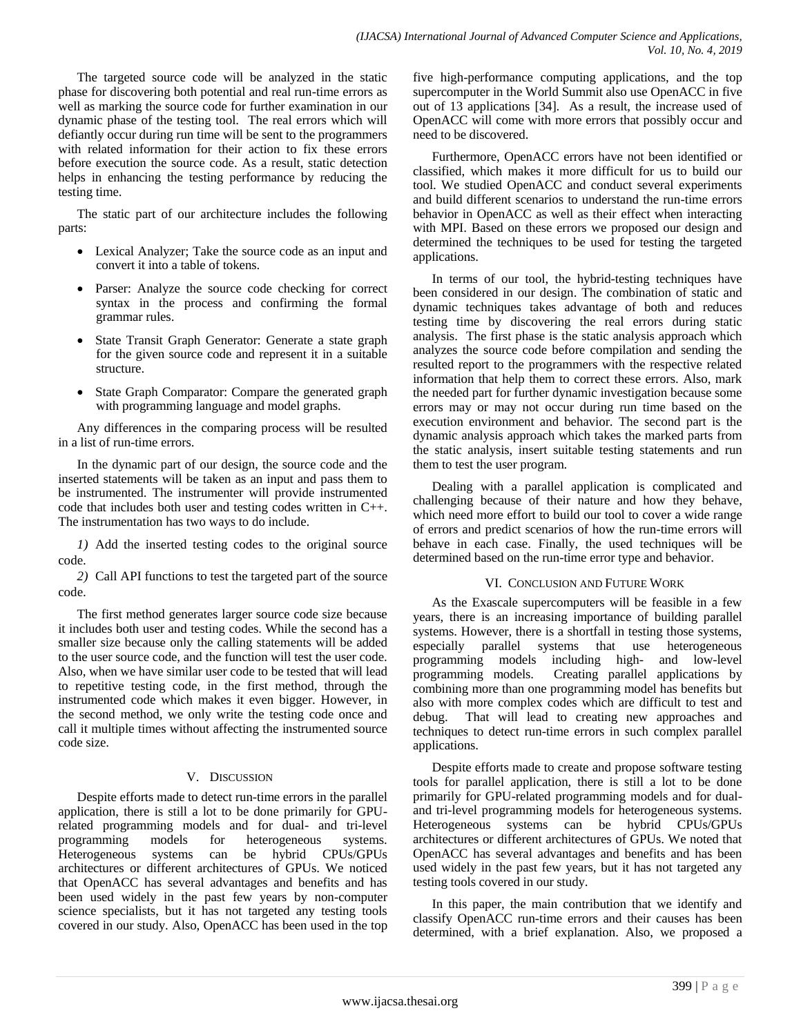The targeted source code will be analyzed in the static phase for discovering both potential and real run-time errors as well as marking the source code for further examination in our dynamic phase of the testing tool. The real errors which will defiantly occur during run time will be sent to the programmers with related information for their action to fix these errors before execution the source code. As a result, static detection helps in enhancing the testing performance by reducing the testing time.

The static part of our architecture includes the following parts:

- Lexical Analyzer; Take the source code as an input and convert it into a table of tokens.
- Parser: Analyze the source code checking for correct syntax in the process and confirming the formal grammar rules.
- State Transit Graph Generator: Generate a state graph for the given source code and represent it in a suitable structure.
- State Graph Comparator: Compare the generated graph with programming language and model graphs.

Any differences in the comparing process will be resulted in a list of run-time errors.

In the dynamic part of our design, the source code and the inserted statements will be taken as an input and pass them to be instrumented. The instrumenter will provide instrumented code that includes both user and testing codes written in C++. The instrumentation has two ways to do include.

*1)* Add the inserted testing codes to the original source code.

*2)* Call API functions to test the targeted part of the source code.

The first method generates larger source code size because it includes both user and testing codes. While the second has a smaller size because only the calling statements will be added to the user source code, and the function will test the user code. Also, when we have similar user code to be tested that will lead to repetitive testing code, in the first method, through the instrumented code which makes it even bigger. However, in the second method, we only write the testing code once and call it multiple times without affecting the instrumented source code size.

# V. DISCUSSION

Despite efforts made to detect run-time errors in the parallel application, there is still a lot to be done primarily for GPUrelated programming models and for dual- and tri-level programming models for heterogeneous systems. Heterogeneous systems can be hybrid CPUs/GPUs architectures or different architectures of GPUs. We noticed that OpenACC has several advantages and benefits and has been used widely in the past few years by non-computer science specialists, but it has not targeted any testing tools covered in our study. Also, OpenACC has been used in the top five high-performance computing applications, and the top supercomputer in the World Summit also use OpenACC in five out of 13 applications [34]. As a result, the increase used of OpenACC will come with more errors that possibly occur and need to be discovered.

Furthermore, OpenACC errors have not been identified or classified, which makes it more difficult for us to build our tool. We studied OpenACC and conduct several experiments and build different scenarios to understand the run-time errors behavior in OpenACC as well as their effect when interacting with MPI. Based on these errors we proposed our design and determined the techniques to be used for testing the targeted applications.

In terms of our tool, the hybrid-testing techniques have been considered in our design. The combination of static and dynamic techniques takes advantage of both and reduces testing time by discovering the real errors during static analysis. The first phase is the static analysis approach which analyzes the source code before compilation and sending the resulted report to the programmers with the respective related information that help them to correct these errors. Also, mark the needed part for further dynamic investigation because some errors may or may not occur during run time based on the execution environment and behavior. The second part is the dynamic analysis approach which takes the marked parts from the static analysis, insert suitable testing statements and run them to test the user program.

Dealing with a parallel application is complicated and challenging because of their nature and how they behave, which need more effort to build our tool to cover a wide range of errors and predict scenarios of how the run-time errors will behave in each case. Finally, the used techniques will be determined based on the run-time error type and behavior.

# VI. CONCLUSION AND FUTURE WORK

As the Exascale supercomputers will be feasible in a few years, there is an increasing importance of building parallel systems. However, there is a shortfall in testing those systems, especially parallel systems that use heterogeneous programming models including high- and low-level programming models. Creating parallel applications by combining more than one programming model has benefits but also with more complex codes which are difficult to test and debug. That will lead to creating new approaches and techniques to detect run-time errors in such complex parallel applications.

Despite efforts made to create and propose software testing tools for parallel application, there is still a lot to be done primarily for GPU-related programming models and for dualand tri-level programming models for heterogeneous systems. Heterogeneous systems can be hybrid CPUs/GPUs architectures or different architectures of GPUs. We noted that OpenACC has several advantages and benefits and has been used widely in the past few years, but it has not targeted any testing tools covered in our study.

In this paper, the main contribution that we identify and classify OpenACC run-time errors and their causes has been determined, with a brief explanation. Also, we proposed a